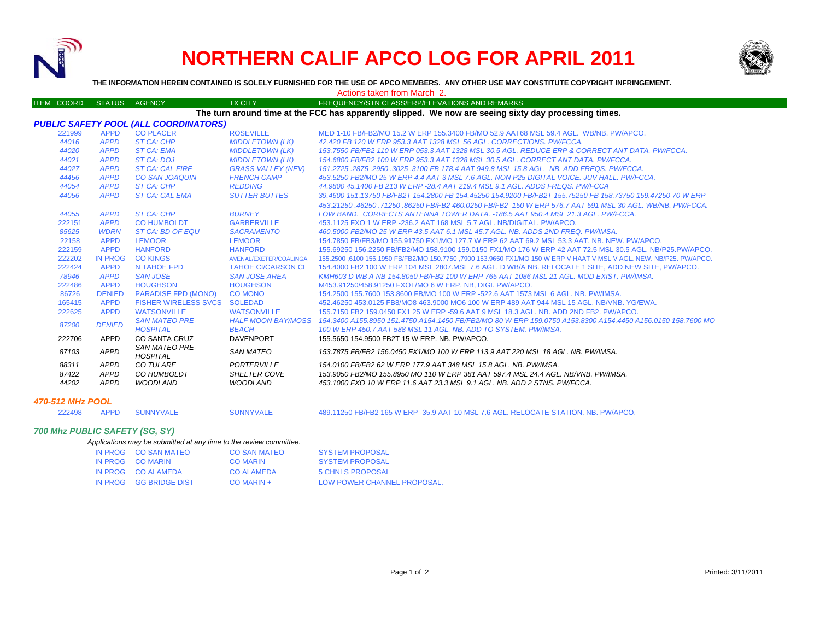

# **NORTHERN CALIF APCO LOG FOR APRIL 2011**



#### ITEM COORD STATUS AGENCY TX CITY TIREQUENCY/STN CLASS/ERP/ELEVATIONS AND REMARKS *PUBLIC SAFETY POOL (ALL COORDINATORS)* 221999 APPD CO PLACER ROSEVILLE MED 1-10 FB/FB2/MO 15.2 W ERP 155.3400 FB/MO 52.9 AAT68 MSL 59.4 AGL. WB/NB. PW/APCO.*44016 APPD ST CA: CHP MIDDLETOWN (LK) 42.420 FB 120 W ERP 953.3 AAT 1328 MSL 56 AGL. CORRECTIONS. PW/FCCA. 44020 APPD ST CA: EMA MIDDLETOWN (LK) 153.7550 FB/FB2 110 W ERP 053.3 AAT 1328 MSL 30.5 AGL. REDUCE ERP & CORRECT ANT DATA. PW/FCCA. 44021 APPD ST CA: DOJ MIDDLETOWN (LK) 154.6800 FB/FB2 100 W ERP 953.3 AAT 1328 MSL 30.5 AGL. CORRECT ANT DATA. PW/FCCA. 44027 APPD ST CA: CAL FIRE GRASS VALLEY (NEV) 151.2725 .2875 .2950 .3025 .3100 FB 178.4 AAT 949.8 MSL 15.8 AGL. NB. ADD FREQS. PW/FCCA. 44456 APPD CO SAN JOAQUIN FRENCH CAMP 453.5250 FB2/MO 25 W ERP 4.4 AAT 3 MSL 7.6 AGL. NON P25 DIGITAL VOICE. JUV HALL. PW/FCCA. 44054 APPD ST CA: CHP REDDING 44.9800 45.1400 FB 213 W ERP -28.4 AAT 219.4 MSL 9.1 AGL. ADDS FREQS. PW/FCCA 44056 APPD ST CA: CAL EMA SUTTER BUTTES 39.4600 151.13750 FB/FB2T 154.2800 FB 154.45250 154.9200 FB/FB2T 155.75250 FB 158.73750 159.47250 70 W ERP 453.21250 .46250 .71250 .86250 FB/FB2 460.0250 FB/FB2 150 W ERP 576.7 AAT 591 MSL 30 AGL. WB/NB. PW/FCCA. 44055 APPD ST CA: CHP BURNEY LOW BAND. CORRECTS ANTENNA TOWER DATA. -186.5 AAT 950.4 MSL 21.3 AGL. PW/FCCA.*222151 *APPD* CO HUMBOLDT GARBERVILLE 453.1125 FXO 1 W ERP -236.2 AAT 168 MSL 5.7 AGL. NB/DIGITAL. PW/APCO. *85625 WDRN ST CA: BD OF EQU SACRAMENTO 460.5000 FB2/MO 25 W ERP 43.5 AAT 6.1 MSL 45.7 AGL. NB. ADDS 2ND FREQ. PW/IMSA.* 22158 APPD LEMOOR LEMOOR 154.7850 FB/FB3/MO 155.91750 FX1/MO 127.7 W ERP 62 AAT 69.2 MSL 53.3 AAT. NB. NEW. PW/APCO.222159 APPD HANFORD HANFORD 155.69250 156.2250 FB/FB2/MO 158.9100 159.0150 FX1/MO 176 W ERP 42 AAT 72.5 MSL 30.5 AGL. NB/P25.PW/APCO.222202 IN PROG CO KINGS AVENAL/EXETER/COALINGA 155.2500 ,6100 156.1950 FB/FB2/MO 150.7750 ,7900 153.9650 FX1/MO 150 W ERP V HAAT V MSL V AGL. NEW. NB/P25. PW/APCO. 222424 APPD N TAHOE FPD TAHOE CI/CARSON CI 154.4000 FB2 100 W ERP 104 MSL 2807.MSL 7.6 AGL. D WB/A NB. RELOCATE 1 SITE, ADD NEW SITE, PW/APCO. *78946 APPD SAN JOSE SAN JOSE AREA KMH603 D WB A NB 154.8050 FB/FB2 100 W ERP 765 AAT 1086 MSL 21 AGL. MOD EXIST. PW/IMSA.*222486 APPD HOUGHSON HOUGHSON M453.91250/458.91250 FXOT/MO 6 W ERP. NB, DIGI. PW/APCO. 86726 DENIED PARADISE FPD (MONO) CO MONO 154.2500 155.7600 153.8600 FB/MO 100 W ERP -522.6 AAT 1573 MSL 6 AGL. NB. PW/IMSA. 165415 APPD FISHER WIRELESS SVCS SOLEDAD 452.46250 453.0125 FB8/MO8 463.9000 MO6 100 W ERP 489 AAT 944 MSL 15 AGL. NB/VNB. YG/EWA. 222625 APPD WATSONVILLE WATSONVILLE 155.7150 FB2 159.0450 FX1 25 W ERP -59.6 AAT 9 MSL 18.3 AGL. NB. ADD 2ND FB2. PW/APCO.*87200 DENIED SAN MATEO PRE- HOSPITAL HALF MOON BAY/MOSS BEACH*154.3400 A155.8950 151.4750 A154.1450 FB/FB2/MO 80 W ERP 159.0750 A153.8300 A154.4450 A156.0150 158.7600 MO<br>100 W ERP 450.7 AAT 588 MSL 11 AGL. NB. ADD TO SYSTEM. PW/IMSA. 222706 APPD CO SANTA CRUZ DAVENPORT 155.5650 154.9500 FB2T 15 W ERP. NB. PW/APCO.*87103 APPD SAN MATEO PRE- HOSPITAL SAN MATEO 153.7875 FB/FB2 156.0450 FX1/MO 100 W ERP 113.9 AAT 220 MSL 18 AGL. NB. PW/IMSA. 88311 APPD CO TULARE PORTERVILLE 154.0100 FB/FB2 62 W ERP 177.9 AAT 348 MSL 15.8 AGL. NB. PW/IMSA.87422 APPD CO HUMBOLDT SHELTER COVE 153.9050 FB2/MO 155.8950 MO 110 W ERP 381 AAT 597.4 MSL 24.4 AGL. NB/VNB. PW/IMSA. 44202 APPD WOODLAND WOODLAND 453.1000 FXO 10 W ERP 11.6 AAT 23.3 MSL 9.1 AGL. NB. ADD 2 STNS. PW/FCCA.470-512 MHz POOL*222498 APPD SUNNYVALE SUNNYVALE 489.11250 FB/FB2 165 W ERP -35.9 AAT 10 MSL 7.6 AGL. RELOCATE STATION. NB. PW/APCO. Actions taken from March 2. **THE INFORMATION HEREIN CONTAINED IS SOLELY FURNISHED FOR THE USE OF APCO MEMBERS. ANY OTHER USE MAY CONSTITUTE COPYRIGHT INFRINGEMENT.The turn around time at the FCC has apparently slipped. We now are seeing sixty day processing times.**

### *700 Mhz PUBLIC SAFETY (SG, SY)*

| Applications may be submitted at any time to the review committee. |
|--------------------------------------------------------------------|
|--------------------------------------------------------------------|

| IN PROG CO SAN MATEO   | <b>CO SAN MATEO</b> | <b>SYSTEM PROPOSAL</b>      |
|------------------------|---------------------|-----------------------------|
| IN PROG CO MARIN       | <b>CO MARIN</b>     | <b>SYSTEM PROPOSAL</b>      |
| IN PROG CO ALAMEDA     | <b>CO ALAMEDA</b>   | 5 CHNLS PROPOSAL            |
| IN PROG GG BRIDGE DIST | $CO$ MARIN +        | LOW POWER CHANNEL PROPOSAL. |